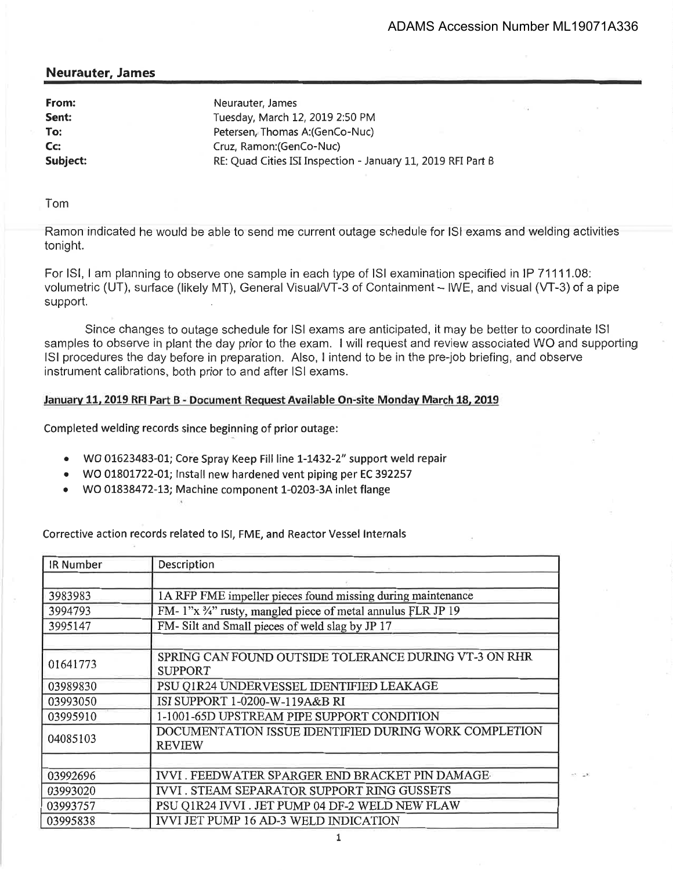## Neurauter, James

| From:<br>Sent:<br>To: | Neurauter, James<br>Tuesday, March 12, 2019 2:50 PM<br>Petersen, Thomas A: (GenCo-Nuc) |
|-----------------------|----------------------------------------------------------------------------------------|
| Cc:                   | Cruz, Ramon: (GenCo-Nuc)                                                               |
| Subject:              | RE: Quad Cities ISI Inspection - January 11, 2019 RFI Part B                           |
|                       |                                                                                        |

Tom

Ramon indicated he would be able to send me current outage schedule for lSl exams and welding activities tonight.

For ISI, I am planning to observe one sample in each type of ISI examination specified in IP 71111.08: volumetric (UT), surface (likely MT), General Visual/VT-3 of Containment - IWE, and visual (VT-3) of a pipe support.

Since changes to outage schedule for lSl exams are anticipated, it may be better to coordinate lSl samples to observe in plant the day prior to the exam. I will request and review associated WO and supporting lSl procedures the day before in preparation. Also, I intend to be in the pre-job briefing, and observe instrument calibrations, both prior to and after lSl exams.

## Januarv 11. 2019 RFI Part B - Document Request Available On-site Mondav March 18. 2019

Completed welding records since beginning of prior outage:

- o Wo 01623483-01; Core Spray Keep Fill line L-L432-2" support weld repair
- o WO OI8OI722-01; lnstall new hardened vent piping per EC <sup>392257</sup>
- o WO OL838472-t3; Machine component 1-0203-34 inlet flange

Corrective action records related to lSl, FME, and Reactor Vessel lnternals

| <b>IR Number</b> | Description                                                             |
|------------------|-------------------------------------------------------------------------|
|                  |                                                                         |
| 3983983          | 1A RFP FME impeller pieces found missing during maintenance             |
| 3994793          | FM-1"x 3/4" rusty, mangled piece of metal annulus FLR JP 19             |
| 3995147          | FM-Silt and Small pieces of weld slag by JP 17                          |
|                  |                                                                         |
| 01641773         | SPRING CAN FOUND OUTSIDE TOLERANCE DURING VT-3 ON RHR<br><b>SUPPORT</b> |
| 03989830         | PSU Q1R24 UNDERVESSEL IDENTIFIED LEAKAGE                                |
| 03993050         | ISI SUPPORT 1-0200-W-119A&B RI                                          |
| 03995910         | 1-1001-65D UPSTREAM PIPE SUPPORT CONDITION                              |
| 04085103         | DOCUMENTATION ISSUE IDENTIFIED DURING WORK COMPLETION<br><b>REVIEW</b>  |
|                  |                                                                         |
| 03992696         | IVVI. FEEDWATER SPARGER END BRACKET PIN DAMAGE                          |
| 03993020         | <b>IVVI. STEAM SEPARATOR SUPPORT RING GUSSETS</b>                       |
| 03993757         | PSU Q1R24 IVVI . JET PUMP 04 DF-2 WELD NEW FLAW                         |
| 03995838         | <b>IVVI JET PUMP 16 AD-3 WELD INDICATION</b>                            |